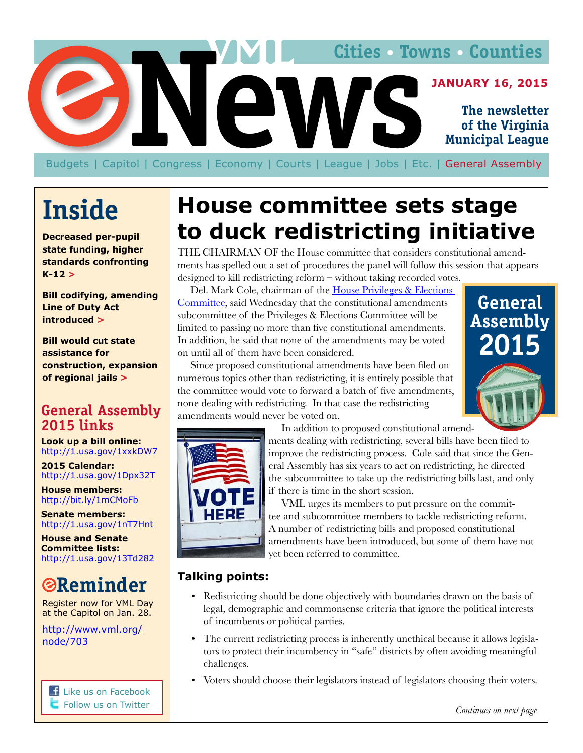<span id="page-0-0"></span>

Budgets | Capitol | Congress | Economy | Courts | League | [Jobs](#page-4-0) | Etc. | General Assembly

# **Inside**

**Decreased per-pupil state funding, higher standards confronting**   $K-12 >$  $K-12 >$ 

**Bill codifying, amending Line of Duty Act introduced [>](#page-1-0)**

**Bill would cut state assistance for construction, expansion of regional jails [>](#page-2-0)**

## **General Assembly 2015 links**

**Look up a bill online:** http://1.usa.gov/1xxkDW7

**2015 Calendar:**  http://1.usa.gov/1Dpx32T

**House members:** http://bit.ly/1mCMoFb

**Senate members:** http://1.usa.gov/1nT7Hnt

**House and Senate Committee lists:**  http://1.usa.gov/13Td282

# **Reminder**

Register now for VML Day at the Capitol on Jan. 28.

http://www.vml.org/ node/703

**[Like us on Facebook](http://leg1.state.va.us/cgi-bin/legp504.exe?101+men+BIL) Follow us on Twitter** 

# **House committee sets stage to duck redistricting initiative**

THE CHAIRMAN OF the House committee that considers constitutional amendments has spelled out a set of procedures the panel will follow this session that appears designed to kill redistricting reform – without taking recorded votes.

Del. Mark Cole, chairman of the [House Privileges & Elections](http://lis.virginia.gov/cgi-bin/legp604.exe?151+com+H18)  [Committee](http://lis.virginia.gov/cgi-bin/legp604.exe?151+com+H18), said Wednesday that the constitutional amendments subcommittee of the Privileges & Elections Committee will be limited to passing no more than five constitutional amendments. In addition, he said that none of the amendments may be voted on until all of them have been considered.

Since proposed constitutional amendments have been filed on numerous topics other than redistricting, it is entirely possible that the committee would vote to forward a batch of five amendments, none dealing with redistricting. In that case the redistricting amendments would never be voted on.





In addition to proposed constitutional amend-

ments dealing with redistricting, several bills have been filed to improve the redistricting process. Cole said that since the General Assembly has six years to act on redistricting, he directed the subcommittee to take up the redistricting bills last, and only if there is time in the short session.

VML urges its members to put pressure on the committee and subcommittee members to tackle redistricting reform. A number of redistricting bills and proposed constitutional amendments have been introduced, but some of them have not yet been referred to committee.

#### **Talking points:**

- Redistricting should be done objectively with boundaries drawn on the basis of legal, demographic and commonsense criteria that ignore the political interests of incumbents or political parties.
- The current redistricting process is inherently unethical because it allows legislators to protect their incumbency in "safe" districts by often avoiding meaningful challenges.
- Voters should choose their legislators instead of legislators choosing their voters.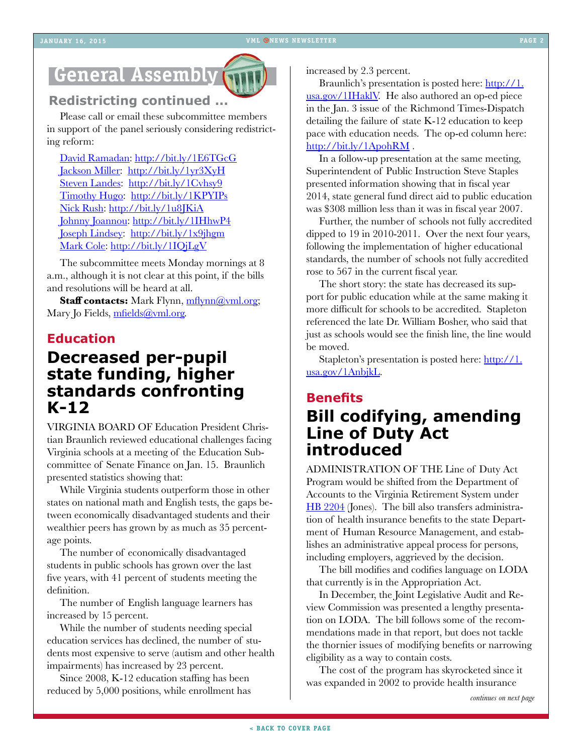# <span id="page-1-0"></span>**General Assembly**



#### **Redistricting continued ...**

Please call or email these subcommittee members in support of the panel seriously considering redistricting reform:

[David Ramadan](http://bit.ly/1E6TGcG): <http://bit.ly/1E6TGcG> [Jackson Miller](http://bit.ly/1yr3XyH): <http://bit.ly/1yr3XyH> [Steven Landes:](http://bit.ly/1Cvhsy9) <http://bit.ly/1Cvhsy9> [Timothy Hugo](http://bit.ly/1KPYIPs): <http://bit.ly/1KPYIPs> [Nick Rush: http://bit.ly/1u8JKiA](http://bit.ly/1u8JKiA) [Johnny Joannou: http://bit.ly/1IHhwP4](http://bit.ly/1IHhwP4)  [Joseph Lindsey:](http://bit.ly/1x9jhgm) <http://bit.ly/1x9jhgm> [Mark Cole: http://bit.ly/1IQjLgV](http://bit.ly/1IQjLgV)

The subcommittee meets Monday mornings at 8 a.m., although it is not clear at this point, if the bills and resolutions will be heard at all.

**Staff contacts:** Mark Flynn, mflynn@yml.org; Mary Jo Fields, [mfields@vml.org](mailto:mfields@vml.org).

#### **Education**

# **Decreased per-pupil state funding, higher standards confronting K-12**

VIRGINIA BOARD OF Education President Christian Braunlich reviewed educational challenges facing Virginia schools at a meeting of the Education Subcommittee of Senate Finance on Jan. 15. Braunlich presented statistics showing that:

While Virginia students outperform those in other states on national math and English tests, the gaps between economically disadvantaged students and their wealthier peers has grown by as much as 35 percentage points.

The number of economically disadvantaged students in public schools has grown over the last five years, with 41 percent of students meeting the definition.

The number of English language learners has increased by 15 percent.

While the number of students needing special education services has declined, the number of students most expensive to serve (autism and other health impairments) has increased by 23 percent.

Since 2008, K-12 education staffing has been reduced by 5,000 positions, while enrollment has increased by 2.3 percent.

Braunlich's presentation is posted here: [http://1.](http://1.usa.gov/1IHaklV) [usa.gov/1IHaklV](http://1.usa.gov/1IHaklV). He also authored an op-ed piece in the Jan. 3 issue of the Richmond Times-Dispatch detailing the failure of state K-12 education to keep pace with education needs. The op-ed column here: <http://bit.ly/1ApohRM>.

In a follow-up presentation at the same meeting, Superintendent of Public Instruction Steve Staples presented information showing that in fiscal year 2014, state general fund direct aid to public education was \$308 million less than it was in fiscal year 2007.

Further, the number of schools not fully accredited dipped to 19 in 2010-2011. Over the next four years, following the implementation of higher educational standards, the number of schools not fully accredited rose to 567 in the current fiscal year.

The short story: the state has decreased its support for public education while at the same making it more difficult for schools to be accredited. Stapleton referenced the late Dr. William Bosher, who said that just as schools would see the finish line, the line would be moved.

Stapleton's presentation is posted here: [http://1.](http://1.usa.gov/1AnbjkL) [usa.gov/1AnbjkL](http://1.usa.gov/1AnbjkL).

# **Benefits Bill codifying, amending Line of Duty Act introduced**

ADMINISTRATION OF THE Line of Duty Act Program would be shifted from the Department of Accounts to the Virginia Retirement System under [HB 2204](http://lis.virginia.gov/cgi-bin/legp604.exe?151+ful+HB2204) (Jones). The bill also transfers administration of health insurance benefits to the state Department of Human Resource Management, and establishes an administrative appeal process for persons, including employers, aggrieved by the decision.

The bill modifies and codifies language on LODA that currently is in the Appropriation Act.

In December, the Joint Legislative Audit and Review Commission was presented a lengthy presentation on LODA. The bill follows some of the recommendations made in that report, but does not tackle the thornier issues of modifying benefits or narrowing eligibility as a way to contain costs.

The cost of the program has skyrocketed since it was expanded in 2002 to provide health insurance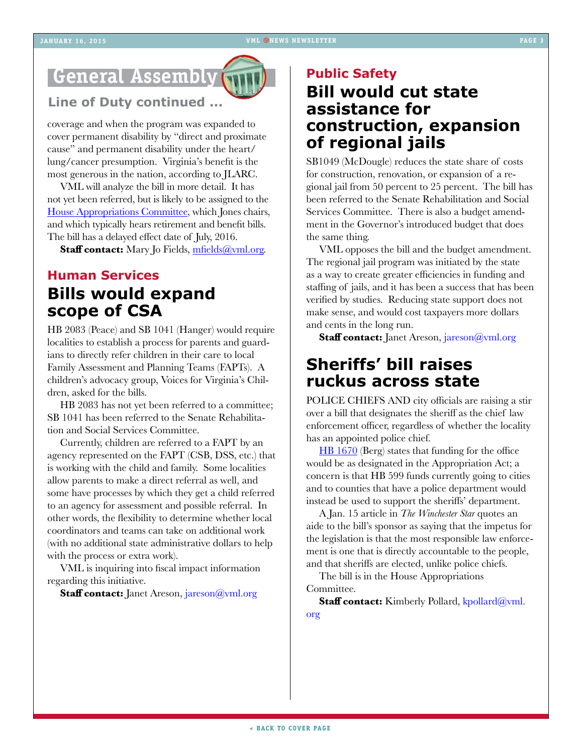# <span id="page-2-0"></span>**General Assembly**

#### **Line of Duty continued ...**

coverage and when the program was expanded to cover permanent disability by "direct and proximate cause" and permanent disability under the heart/ lung/cancer presumption. Virginia's benefit is the most generous in the nation, according to JLARC.

VML will analyze the bill in more detail. It has not yet been referred, but is likely to be assigned to the [House Appropriations Committee,](http://lis.virginia.gov/cgi-bin/legp604.exe?151+com+H2) which Jones chairs, and which typically hears retirement and benefit bills. The bill has a delayed effect date of July, 2016.

Staff contact: Mary Jo Fields, [mfields@vml.org](mailto:mfields@vml.org).

## **Human Services Bills would expand scope of CSA**

[HB 2083](http://leg1.state.va.us/cgi-bin/legp504.exe?ses=151&typ=bil&val=hb2083) (Peace) and [SB 1041](http://leg1.state.va.us/cgi-bin/legp504.exe?ses=151&typ=bil&val=SB1041) (Hanger) would require localities to establish a process for parents and guardians to directly refer children in their care to local Family Assessment and Planning Teams (FAPTs). A children's advocacy group, Voices for Virginia's Children, asked for the bills.

HB 2083 has not yet been referred to a committee; SB 1041 has been referred to the Senate Rehabilitation and Social Services Committee.

Currently, children are referred to a FAPT by an agency represented on the FAPT (CSB, DSS, etc.) that is working with the child and family. Some localities allow parents to make a direct referral as well, and some have processes by which they get a child referred to an agency for assessment and possible referral. In other words, the flexibility to determine whether local coordinators and teams can take on additional work (with no additional state administrative dollars to help with the process or extra work).

VML is inquiring into fiscal impact information regarding this initiative.

**Staff contact:** Janet Areson, [jareson@vml.org](mailto:jareson@vml.org)

# **Public Safety Bill would cut state assistance for construction, expansion of regional jails**

[SB1049](http://leg1.state.va.us/cgi-bin/legp504.exe?ses=151&typ=bil&val=SB1049) (McDougle) reduces the state share of costs for construction, renovation, or expansion of a regional jail from 50 percent to 25 percent. The bill has been referred to the Senate Rehabilitation and Social Services Committee. There is also a budget amendment in the Governor's introduced budget that does the same thing.

VML opposes the bill and the budget amendment. The regional jail program was initiated by the state as a way to create greater efficiencies in funding and staffing of jails, and it has been a success that has been verified by studies. Reducing state support does not make sense, and would cost taxpayers more dollars and cents in the long run.

**Staff contact:** Janet Areson, [jareson@vml.org](mailto:jareson@vml.org)

## **Sheriffs' bill raises ruckus across state**

POLICE CHIEFS AND city officials are raising a stir over a bill that designates the sheriff as the chief law enforcement officer, regardless of whether the locality has an appointed police chief.

[HB 1670](http://lis.virginia.gov/cgi-bin/legp604.exe?ses=151&typ=bil&val=hb1670) (Berg) states that funding for the office would be as designated in the Appropriation Act; a concern is that HB 599 funds currently going to cities and to counties that have a police department would instead be used to support the sheriffs' department.

A Jan. 15 article in *The Winchester Star* quotes an aide to the bill's sponsor as saying that the impetus for the legislation is that the most responsible law enforcement is one that is directly accountable to the people, and that sheriffs are elected, unlike police chiefs.

The bill is in the House Appropriations Committee.

Staff contact: Kimberly Pollard, [kpollard@vml.](mailto:kpollard@vml.org) [org](mailto:kpollard@vml.org)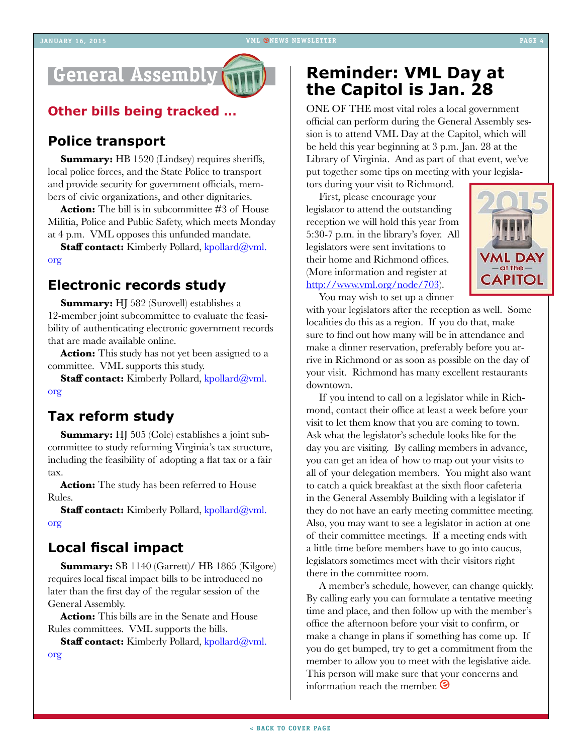#### **JANUARY 16, 2015 VML ONEWS NEWSLETTER**

# **General Assembly**

### **Other bills being tracked …**

### **Police transport**

**Summary:** [HB 1520](http://lis.virginia.gov/cgi-bin/legp604.exe?151+sum+HB1520) (Lindsey) requires sheriffs, local police forces, and the State Police to transport and provide security for government officials, members of civic organizations, and other dignitaries.

**Action:** The bill is in subcommittee #3 of House Militia, Police and Public Safety, which meets Monday at 4 p.m. VML opposes this unfunded mandate.

**Staff contact:** Kimberly Pollard, [kpollard@vml.](mailto:kpollard@vml.org) [org](mailto:kpollard@vml.org)

#### **Electronic records study**

**Summary:** [HJ 582](http://lis.virginia.gov/cgi-bin/legp604.exe?151+sum+HJ582) (Surovell) establishes a 12-member joint subcommittee to evaluate the feasibility of authenticating electronic government records that are made available online.

**Action:** This study has not yet been assigned to a committee. VML supports this study.

Staff contact: Kimberly Pollard, [kpollard@vml.](mailto:kpollard@vml.org) [org](mailto:kpollard@vml.org) 

### **Tax reform study**

**Summary:** [HJ 505](http://lis.virginia.gov/cgi-bin/legp604.exe?151+sum+HJ505) (Cole) establishes a joint subcommittee to study reforming Virginia's tax structure, including the feasibility of adopting a flat tax or a fair tax.

**Action:** The study has been referred to House Rules.

**Staff contact:** Kimberly Pollard, [kpollard@vml.](mailto:kpollard@vml.org) [org](mailto:kpollard@vml.org) 

### **Local fiscal impact**

**Summary:** [SB 1140](http://lis.virginia.gov/cgi-bin/legp604.exe?151+sum+SB1140) (Garrett)/ [HB 1865](http://lis.virginia.gov/cgi-bin/legp604.exe?151+sum+HB1865) (Kilgore) requires local fiscal impact bills to be introduced no later than the first day of the regular session of the General Assembly.

**Action:** This bills are in the Senate and House Rules committees. VML supports the bills.

**Staff contact:** Kimberly Pollard, [kpollard@vml.](mailto:kpollard@vml.org)

[org](mailto:kpollard@vml.org) 

## **Reminder: VML Day at the Capitol is Jan. 28**

ONE OF THE most vital roles a local government official can perform during the General Assembly session is to attend VML Day at the Capitol, which will be held this year beginning at 3 p.m. Jan. 28 at the Library of Virginia. And as part of that event, we've put together some tips on meeting with your legisla-

tors during your visit to Richmond. First, please encourage your legislator to attend the outstanding reception we will hold this year from 5:30-7 p.m. in the library's foyer. All legislators were sent invitations to their home and Richmond offices. (More information and register at <http://www.vml.org/node/703>).



You may wish to set up a dinner

with your legislators after the reception as well. Some localities do this as a region. If you do that, make sure to find out how many will be in attendance and make a dinner reservation, preferably before you arrive in Richmond or as soon as possible on the day of your visit. Richmond has many excellent restaurants downtown.

If you intend to call on a legislator while in Richmond, contact their office at least a week before your visit to let them know that you are coming to town. Ask what the legislator's schedule looks like for the day you are visiting. By calling members in advance, you can get an idea of how to map out your visits to all of your delegation members. You might also want to catch a quick breakfast at the sixth floor cafeteria in the General Assembly Building with a legislator if they do not have an early meeting committee meeting. Also, you may want to see a legislator in action at one of their committee meetings. If a meeting ends with a little time before members have to go into caucus, legislators sometimes meet with their visitors right there in the committee room.

A member's schedule, however, can change quickly. By calling early you can formulate a tentative meeting time and place, and then follow up with the member's office the afternoon before your visit to confirm, or make a change in plans if something has come up. If you do get bumped, try to get a commitment from the member to allow you to meet with the legislative aide. This person will make sure that your concerns and information reach the member.  $\odot$